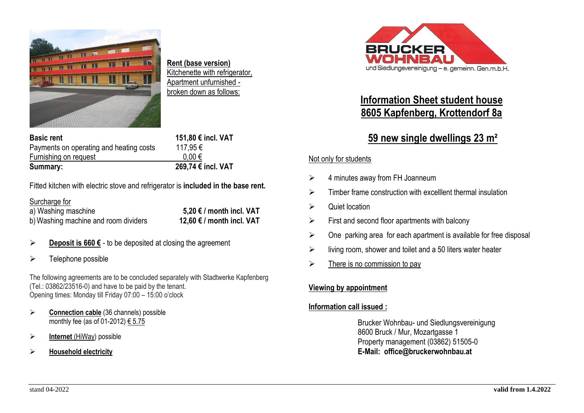

**Rent (base version)** Kitchenette with refrigerator, Apartment unfurnished broken down as follows:

| <b>Basic rent</b>                       | 151,80 € incl. VAT |
|-----------------------------------------|--------------------|
| Payments on operating and heating costs | 117,95€            |
| Furnishing on request                   | $0.00 \in$         |
| Summary:                                | 269,74 € incl. VAT |

Fitted kitchen with electric stove and refrigerator is **included in the base rent.**

Surcharge for

a) Washing maschine **5,20 € / month incl. VAT** b)Washing machine and room dividers **12,60 € / month incl. VAT**

- ➢ **Deposit is 660 €** to be deposited at closing the agreement
- ➢ Telephone possible

The following agreements are to be concluded separately with Stadtwerke Kapfenberg (Tel.: 03862/23516-0) and have to be paid by the tenant. Opening times: Monday till Friday 07:00 – 15:00 o'clock

- ➢ **Connection cable** (36 channels) possible monthly fee (as of 01-2012)  $\epsilon$  5.75
- ➢ **Internet** (HiWay) possible
- ➢ **Household electricity**



# **Information Sheet student house 8605 Kapfenberg, Krottendorf 8a**

# **59 new single dwellings 23 m²**

#### Not only for students

- ➢ 4 minutes away from FH Joanneum
- $\triangleright$  Timber frame construction with excellent thermal insulation
- ➢ Quiet location
- $\triangleright$  First and second floor apartments with balcony
- $\triangleright$  One parking area for each apartment is available for free disposal
- $\triangleright$  living room, shower and toilet and a 50 liters water heater
- $\triangleright$  There is no commission to pay

## **Viewing by appointment**

## **Information call issued :**

Brucker Wohnbau- und Siedlungsvereinigung 8600 Bruck / Mur, Mozartgasse 1 Property management (03862) 51505-0 **E-Mail: office@bruckerwohnbau.at**